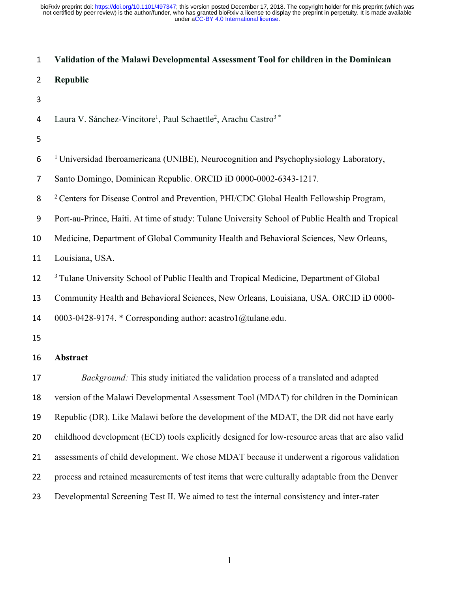#### **Validation of the Malawi Developmental Assessment Tool for children in the Dominican**

- **Republic**
- 

|  |  | Laura V. Sánchez-Vincitore <sup>1</sup> , Paul Schaettle <sup>2</sup> , Arachu Castro <sup>3</sup> * |  |
|--|--|------------------------------------------------------------------------------------------------------|--|
|  |  |                                                                                                      |  |

<sup>1</sup> Universidad Iberoamericana (UNIBE), Neurocognition and Psychophysiology Laboratory,

Santo Domingo, Dominican Republic. ORCID iD 0000-0002-6343-1217.

<sup>2</sup> Centers for Disease Control and Prevention, PHI/CDC Global Health Fellowship Program,

Port-au-Prince, Haiti. At time of study: Tulane University School of Public Health and Tropical

Medicine, Department of Global Community Health and Behavioral Sciences, New Orleans,

Louisiana, USA.

12 <sup>3</sup> Tulane University School of Public Health and Tropical Medicine, Department of Global

Community Health and Behavioral Sciences, New Orleans, Louisiana, USA. ORCID iD 0000-

14 0003-0428-9174. \* Corresponding author: acastro1 $@$ tulane.edu.

### **Abstract**

 *Background:* This study initiated the validation process of a translated and adapted version of the Malawi Developmental Assessment Tool (MDAT) for children in the Dominican Republic (DR). Like Malawi before the development of the MDAT, the DR did not have early childhood development (ECD) tools explicitly designed for low-resource areas that are also valid assessments of child development. We chose MDAT because it underwent a rigorous validation process and retained measurements of test items that were culturally adaptable from the Denver Developmental Screening Test II. We aimed to test the internal consistency and inter-rater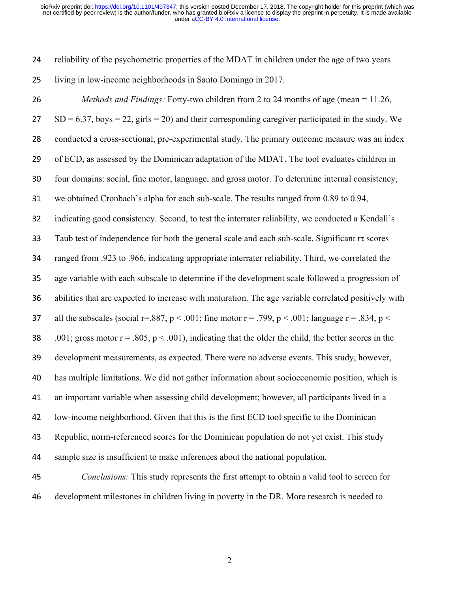| 24 | reliability of the psychometric properties of the MDAT in children under the age of two years              |
|----|------------------------------------------------------------------------------------------------------------|
| 25 | living in low-income neighborhoods in Santo Domingo in 2017.                                               |
| 26 | <i>Methods and Findings:</i> Forty-two children from 2 to 24 months of age (mean = $11.26$ ,               |
| 27 | $SD = 6.37$ , boys = 22, girls = 20) and their corresponding caregiver participated in the study. We       |
| 28 | conducted a cross-sectional, pre-experimental study. The primary outcome measure was an index              |
| 29 | of ECD, as assessed by the Dominican adaptation of the MDAT. The tool evaluates children in                |
| 30 | four domains: social, fine motor, language, and gross motor. To determine internal consistency,            |
| 31 | we obtained Cronbach's alpha for each sub-scale. The results ranged from 0.89 to 0.94,                     |
| 32 | indicating good consistency. Second, to test the interrater reliability, we conducted a Kendall's          |
| 33 | Taub test of independence for both the general scale and each sub-scale. Significant rt scores             |
| 34 | ranged from .923 to .966, indicating appropriate interrater reliability. Third, we correlated the          |
| 35 | age variable with each subscale to determine if the development scale followed a progression of            |
| 36 | abilities that are expected to increase with maturation. The age variable correlated positively with       |
| 37 | all the subscales (social r=.887, $p < .001$ ; fine motor r = .799, $p < .001$ ; language r = .834, $p <$  |
| 38 | .001; gross motor $r = .805$ , $p < .001$ ), indicating that the older the child, the better scores in the |
| 39 | development measurements, as expected. There were no adverse events. This study, however,                  |
| 40 | has multiple limitations. We did not gather information about socioeconomic position, which is             |
| 41 | an important variable when assessing child development; however, all participants lived in a               |
| 42 | low-income neighborhood. Given that this is the first ECD tool specific to the Dominican                   |
| 43 | Republic, norm-referenced scores for the Dominican population do not yet exist. This study                 |
| 44 | sample size is insufficient to make inferences about the national population.                              |
| 45 | Conclusions: This study represents the first attempt to obtain a valid tool to screen for                  |

development milestones in children living in poverty in the DR. More research is needed to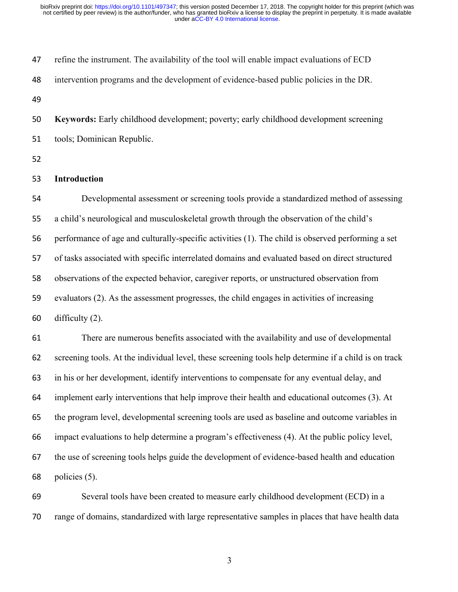| 47 | refine the instrument. The availability of the tool will enable impact evaluations of ECD             |
|----|-------------------------------------------------------------------------------------------------------|
| 48 | intervention programs and the development of evidence-based public policies in the DR.                |
| 49 |                                                                                                       |
| 50 | Keywords: Early childhood development; poverty; early childhood development screening                 |
| 51 | tools; Dominican Republic.                                                                            |
| 52 |                                                                                                       |
| 53 | Introduction                                                                                          |
| 54 | Developmental assessment or screening tools provide a standardized method of assessing                |
| 55 | a child's neurological and musculoskeletal growth through the observation of the child's              |
| 56 | performance of age and culturally-specific activities (1). The child is observed performing a set     |
| 57 | of tasks associated with specific interrelated domains and evaluated based on direct structured       |
| 58 | observations of the expected behavior, caregiver reports, or unstructured observation from            |
| 59 | evaluators (2). As the assessment progresses, the child engages in activities of increasing           |
| 60 | difficulty $(2)$ .                                                                                    |
| 61 | There are numerous benefits associated with the availability and use of developmental                 |
| 62 | screening tools. At the individual level, these screening tools help determine if a child is on track |
| 63 | in his or her development, identify interventions to compensate for any eventual delay, and           |
| 64 | implement early interventions that help improve their health and educational outcomes (3). At         |
| 65 | the program level, developmental screening tools are used as baseline and outcome variables in        |
| 66 | impact evaluations to help determine a program's effectiveness (4). At the public policy level,       |
| 67 | the use of screening tools helps guide the development of evidence-based health and education         |
| 68 | policies (5).                                                                                         |
| 69 | Several tools have been created to measure early childhood development (ECD) in a                     |

range of domains, standardized with large representative samples in places that have health data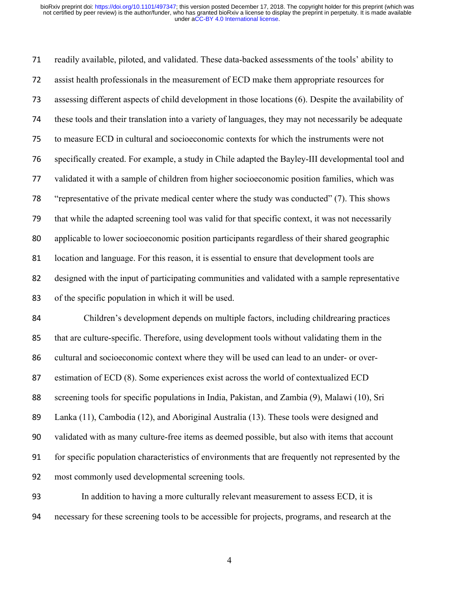readily available, piloted, and validated. These data-backed assessments of the tools' ability to assist health professionals in the measurement of ECD make them appropriate resources for assessing different aspects of child development in those locations (6). Despite the availability of these tools and their translation into a variety of languages, they may not necessarily be adequate to measure ECD in cultural and socioeconomic contexts for which the instruments were not specifically created. For example, a study in Chile adapted the Bayley-III developmental tool and validated it with a sample of children from higher socioeconomic position families, which was "representative of the private medical center where the study was conducted" (7). This shows that while the adapted screening tool was valid for that specific context, it was not necessarily applicable to lower socioeconomic position participants regardless of their shared geographic location and language. For this reason, it is essential to ensure that development tools are designed with the input of participating communities and validated with a sample representative of the specific population in which it will be used.

 Children's development depends on multiple factors, including childrearing practices that are culture-specific. Therefore, using development tools without validating them in the cultural and socioeconomic context where they will be used can lead to an under- or over- estimation of ECD (8). Some experiences exist across the world of contextualized ECD screening tools for specific populations in India, Pakistan, and Zambia (9), Malawi (10), Sri Lanka (11), Cambodia (12), and Aboriginal Australia (13). These tools were designed and validated with as many culture-free items as deemed possible, but also with items that account for specific population characteristics of environments that are frequently not represented by the most commonly used developmental screening tools.

 In addition to having a more culturally relevant measurement to assess ECD, it is necessary for these screening tools to be accessible for projects, programs, and research at the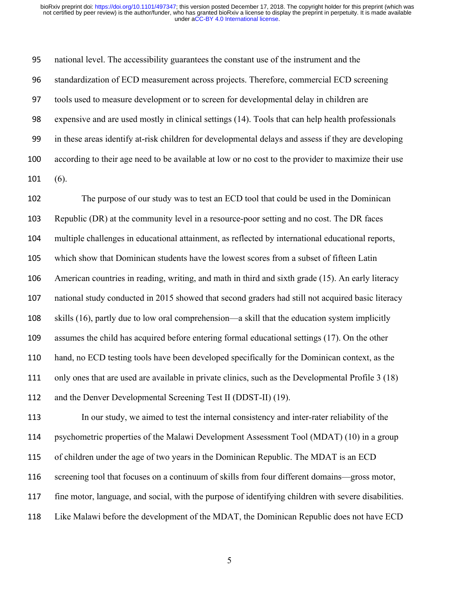national level. The accessibility guarantees the constant use of the instrument and the standardization of ECD measurement across projects. Therefore, commercial ECD screening tools used to measure development or to screen for developmental delay in children are expensive and are used mostly in clinical settings (14). Tools that can help health professionals in these areas identify at-risk children for developmental delays and assess if they are developing according to their age need to be available at low or no cost to the provider to maximize their use (6).

 The purpose of our study was to test an ECD tool that could be used in the Dominican Republic (DR) at the community level in a resource-poor setting and no cost. The DR faces multiple challenges in educational attainment, as reflected by international educational reports, which show that Dominican students have the lowest scores from a subset of fifteen Latin American countries in reading, writing, and math in third and sixth grade (15). An early literacy national study conducted in 2015 showed that second graders had still not acquired basic literacy skills (16), partly due to low oral comprehension—a skill that the education system implicitly assumes the child has acquired before entering formal educational settings (17). On the other hand, no ECD testing tools have been developed specifically for the Dominican context, as the only ones that are used are available in private clinics, such as the Developmental Profile 3 (18) and the Denver Developmental Screening Test II (DDST-II) (19).

 In our study, we aimed to test the internal consistency and inter-rater reliability of the psychometric properties of the Malawi Development Assessment Tool (MDAT) (10) in a group of children under the age of two years in the Dominican Republic. The MDAT is an ECD screening tool that focuses on a continuum of skills from four different domains—gross motor, fine motor, language, and social, with the purpose of identifying children with severe disabilities. Like Malawi before the development of the MDAT, the Dominican Republic does not have ECD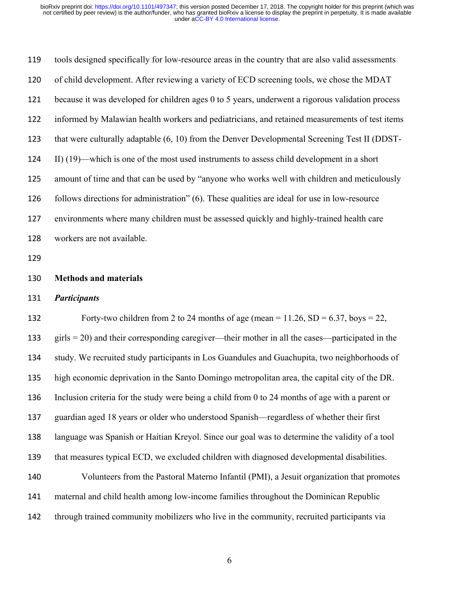| 119 | tools designed specifically for low-resource areas in the country that are also valid assessments         |
|-----|-----------------------------------------------------------------------------------------------------------|
| 120 | of child development. After reviewing a variety of ECD screening tools, we chose the MDAT                 |
| 121 | because it was developed for children ages 0 to 5 years, underwent a rigorous validation process          |
| 122 | informed by Malawian health workers and pediatricians, and retained measurements of test items            |
| 123 | that were culturally adaptable (6, 10) from the Denver Developmental Screening Test II (DDST-             |
| 124 | II) (19)—which is one of the most used instruments to assess child development in a short                 |
| 125 | amount of time and that can be used by "anyone who works well with children and meticulously              |
| 126 | follows directions for administration" (6). These qualities are ideal for use in low-resource             |
| 127 | environments where many children must be assessed quickly and highly-trained health care                  |
| 128 | workers are not available.                                                                                |
| 129 |                                                                                                           |
|     |                                                                                                           |
| 130 | <b>Methods and materials</b>                                                                              |
| 131 | <b>Participants</b>                                                                                       |
| 132 | Forty-two children from 2 to 24 months of age (mean = $11.26$ , SD = $6.37$ , boys = 22,                  |
| 133 | $\text{girls} = 20$ ) and their corresponding caregiver—their mother in all the cases—participated in the |
| 134 | study. We recruited study participants in Los Guandules and Guachupita, two neighborhoods of              |
| 135 | high economic deprivation in the Santo Domingo metropolitan area, the capital city of the DR.             |
| 136 | Inclusion criteria for the study were being a child from 0 to 24 months of age with a parent or           |
| 137 | guardian aged 18 years or older who understood Spanish—regardless of whether their first                  |
| 138 | language was Spanish or Haitian Kreyol. Since our goal was to determine the validity of a tool            |
| 139 | that measures typical ECD, we excluded children with diagnosed developmental disabilities.                |
| 140 | Volunteers from the Pastoral Materno Infantil (PMI), a Jesuit organization that promotes                  |
| 141 | maternal and child health among low-income families throughout the Dominican Republic                     |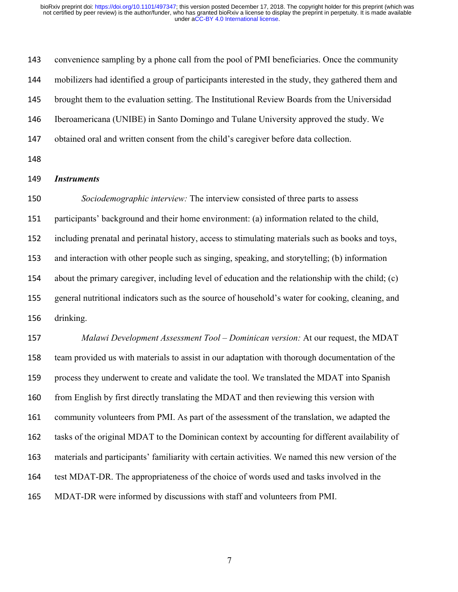convenience sampling by a phone call from the pool of PMI beneficiaries. Once the community mobilizers had identified a group of participants interested in the study, they gathered them and brought them to the evaluation setting. The Institutional Review Boards from the Universidad Iberoamericana (UNIBE) in Santo Domingo and Tulane University approved the study. We obtained oral and written consent from the child's caregiver before data collection. *Instruments Sociodemographic interview:* The interview consisted of three parts to assess participants' background and their home environment: (a) information related to the child, including prenatal and perinatal history, access to stimulating materials such as books and toys, and interaction with other people such as singing, speaking, and storytelling; (b) information about the primary caregiver, including level of education and the relationship with the child; (c) general nutritional indicators such as the source of household's water for cooking, cleaning, and drinking. *Malawi Development Assessment Tool – Dominican version:* At our request, the MDAT team provided us with materials to assist in our adaptation with thorough documentation of the process they underwent to create and validate the tool. We translated the MDAT into Spanish 160 from English by first directly translating the MDAT and then reviewing this version with community volunteers from PMI. As part of the assessment of the translation, we adapted the tasks of the original MDAT to the Dominican context by accounting for different availability of materials and participants' familiarity with certain activities. We named this new version of the test MDAT-DR. The appropriateness of the choice of words used and tasks involved in the MDAT-DR were informed by discussions with staff and volunteers from PMI.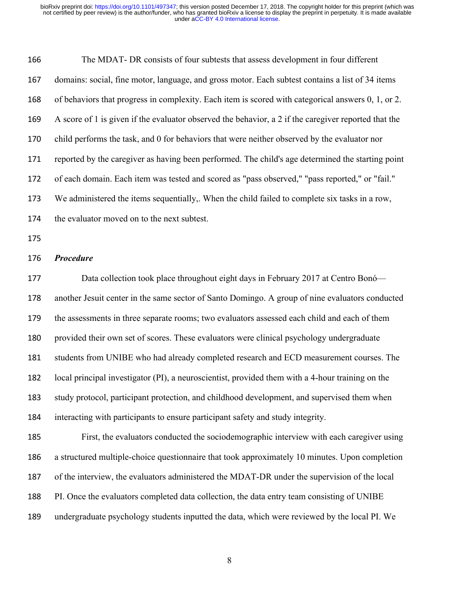| 166 | The MDAT- DR consists of four subtests that assess development in four different                     |
|-----|------------------------------------------------------------------------------------------------------|
| 167 | domains: social, fine motor, language, and gross motor. Each subtest contains a list of 34 items     |
| 168 | of behaviors that progress in complexity. Each item is scored with categorical answers 0, 1, or 2.   |
| 169 | A score of 1 is given if the evaluator observed the behavior, a 2 if the caregiver reported that the |
| 170 | child performs the task, and 0 for behaviors that were neither observed by the evaluator nor         |
| 171 | reported by the caregiver as having been performed. The child's age determined the starting point    |
| 172 | of each domain. Each item was tested and scored as "pass observed," "pass reported," or "fail."      |
| 173 | We administered the items sequentially,. When the child failed to complete six tasks in a row,       |
| 174 | the evaluator moved on to the next subtest.                                                          |
| 175 |                                                                                                      |
| 176 | <b>Procedure</b>                                                                                     |
| 177 | Data collection took place throughout eight days in February 2017 at Centro Bonó-                    |
| 178 | another Jesuit center in the same sector of Santo Domingo. A group of nine evaluators conducted      |
| 179 | the assessments in three separate rooms; two evaluators assessed each child and each of them         |
| 180 | provided their own set of scores. These evaluators were clinical psychology undergraduate            |
| 181 | students from UNIBE who had already completed research and ECD measurement courses. The              |
| 182 | local principal investigator (PI), a neuroscientist, provided them with a 4-hour training on the     |
| 183 | study protocol, participant protection, and childhood development, and supervised them when          |
| 184 | interacting with participants to ensure participant safety and study integrity.                      |
| 185 | First, the evaluators conducted the sociodemographic interview with each caregiver using             |
| 186 | a structured multiple-choice questionnaire that took approximately 10 minutes. Upon completion       |
| 187 | of the interview, the evaluators administered the MDAT-DR under the supervision of the local         |
| 188 | PI. Once the evaluators completed data collection, the data entry team consisting of UNIBE           |
| 189 | undergraduate psychology students inputted the data, which were reviewed by the local PI. We         |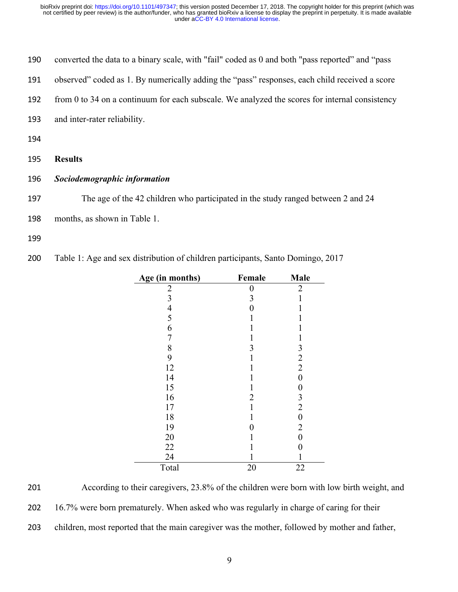| 190 | converted the data to a binary scale, with "fail" coded as 0 and both "pass reported" and "pass" |
|-----|--------------------------------------------------------------------------------------------------|
| 191 | observed" coded as 1. By numerically adding the "pass" responses, each child received a score    |
| 192 | from 0 to 34 on a continuum for each subscale. We analyzed the scores for internal consistency   |
| 193 | and inter-rater reliability.                                                                     |
| 194 |                                                                                                  |
| 195 | <b>Results</b>                                                                                   |
| 196 | Sociodemographic information                                                                     |
| 197 | The age of the 42 children who participated in the study ranged between 2 and 24                 |
| 198 | months, as shown in Table 1.                                                                     |

Table 1: Age and sex distribution of children participants, Santo Domingo, 2017

| Age (in months)                            | Female | Male             |
|--------------------------------------------|--------|------------------|
| $\overline{\mathbf{c}}$                    | 0      | $\overline{2}$   |
| $\mathfrak{Z}$                             | 3      | 1                |
|                                            | 0      | 1                |
| $\begin{array}{c} 4 \\ 5 \\ 6 \end{array}$ | 1      | 1                |
|                                            | 1      | 1                |
| $\overline{7}$                             | 1      | 1                |
| $\begin{array}{c} 8 \\ 9 \end{array}$      | 3      | $\mathfrak{Z}$   |
|                                            | 1      | $\overline{2}$   |
| 12                                         | 1      | $\overline{2}$   |
| 14                                         | 1      | $\boldsymbol{0}$ |
| 15                                         | 1      | 0                |
| 16                                         | 2      | 3                |
| 17                                         | 1      | $\overline{2}$   |
| 18                                         | 1      | 0                |
| 19                                         | 0      | $\overline{2}$   |
| 20                                         | 1      | 0                |
| 22                                         | 1      | 0                |
| 24                                         |        | 1                |
| Total                                      | 20     | 22               |

 According to their caregivers, 23.8% of the children were born with low birth weight, and 16.7% were born prematurely. When asked who was regularly in charge of caring for their children, most reported that the main caregiver was the mother, followed by mother and father,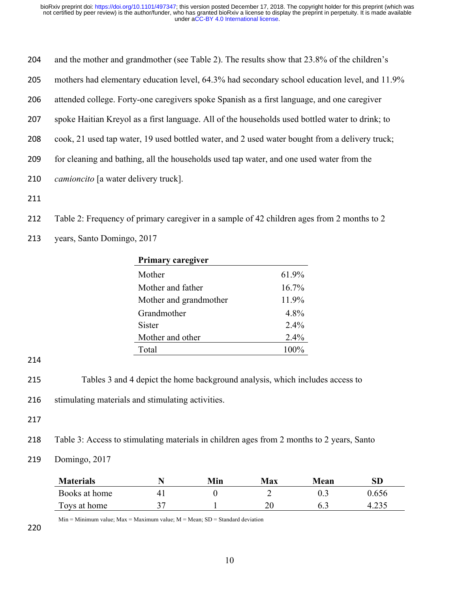| 204 | and the mother and grandmother (see Table 2). The results show that 23.8% of the children's     |
|-----|-------------------------------------------------------------------------------------------------|
| 205 | mothers had elementary education level, 64.3% had secondary school education level, and 11.9%   |
| 206 | attended college. Forty-one caregivers spoke Spanish as a first language, and one caregiver     |
| 207 | spoke Haitian Kreyol as a first language. All of the households used bottled water to drink; to |
| 208 | cook, 21 used tap water, 19 used bottled water, and 2 used water bought from a delivery truck;  |
| 209 | for cleaning and bathing, all the households used tap water, and one used water from the        |

- 210 *camioncito* [a water delivery truck].
- 211
- 212 Table 2: Frequency of primary caregiver in a sample of 42 children ages from 2 months to 2
- 213 years, Santo Domingo, 2017

| Primary caregiver      |         |
|------------------------|---------|
| Mother                 | 61.9%   |
| Mother and father      | 16.7%   |
| Mother and grandmother | 11.9%   |
| Grandmother            | 4.8%    |
| Sister                 | $2.4\%$ |
| Mother and other       | $2.4\%$ |
| Total                  | 100%    |
|                        |         |

214

- 215 Tables 3 and 4 depict the home background analysis, which includes access to
- 216 stimulating materials and stimulating activities.
- 217

218 Table 3: Access to stimulating materials in children ages from 2 months to 2 years, Santo

219 Domingo, 2017

| <b>Materials</b> |   | Min | Max | Mean | ${\bf SD}$ |
|------------------|---|-----|-----|------|------------|
| Books at home    | 4 |     |     | ∪.∟  | ).656      |
| Toys at home     | ັ |     | 20  | 6.3  | ت ر∠∟      |

 $Min = Minimum value$ ;  $Max = Maximum value$ ;  $M = Mean$ ;  $SD = Standard deviation$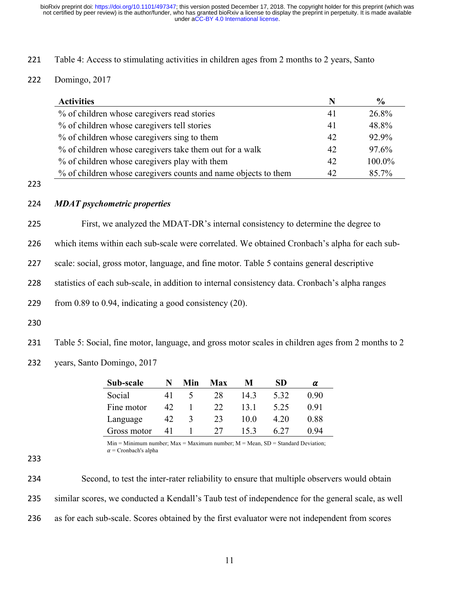- 221 Table 4: Access to stimulating activities in children ages from 2 months to 2 years, Santo
- 222 Domingo, 2017

| <b>Activities</b>                                              | N  | $\frac{6}{9}$ |
|----------------------------------------------------------------|----|---------------|
| % of children whose caregivers read stories                    | 41 | 26.8%         |
| % of children whose caregivers tell stories                    | 41 | 48.8%         |
| % of children whose caregivers sing to them                    | 42 | 92.9%         |
| % of children whose caregivers take them out for a walk        | 42 | 97.6%         |
| % of children whose caregivers play with them                  | 42 | 100.0%        |
| % of children whose caregivers counts and name objects to them | 42 | 85.7%         |

223

### 224 *MDAT psychometric properties*

225 First, we analyzed the MDAT-DR's internal consistency to determine the degree to

226 which items within each sub-scale were correlated. We obtained Cronbach's alpha for each sub-

227 scale: social, gross motor, language, and fine motor. Table 5 contains general descriptive

228 statistics of each sub-scale, in addition to internal consistency data. Cronbach's alpha ranges

229 from 0.89 to 0.94, indicating a good consistency (20).

230

231 Table 5: Social, fine motor, language, and gross motor scales in children ages from 2 months to 2

232 years, Santo Domingo, 2017

| Sub-scale   |    | Min | Max | M    | SD   | α    |
|-------------|----|-----|-----|------|------|------|
| Social      | 41 |     | 28  | 14.3 | 5.32 | 0.90 |
| Fine motor  | 42 |     | 22  | 13.1 | 5.25 | 0.91 |
| Language    | 42 | 3   | 23  | 10.0 | 4.20 | 0.88 |
| Gross motor |    |     |     | 15.3 |      | 0.94 |

 $Min = Minimum$  number;  $Max = Maximum$  number;  $M = Mean$ ,  $SD = Standard Deviation$ ;  $\alpha$  = Cronbach's alpha

234 Second, to test the inter-rater reliability to ensure that multiple observers would obtain 235 similar scores, we conducted a Kendall's Taub test of independence for the general scale, as well 236 as for each sub-scale. Scores obtained by the first evaluator were not independent from scores

<sup>233</sup>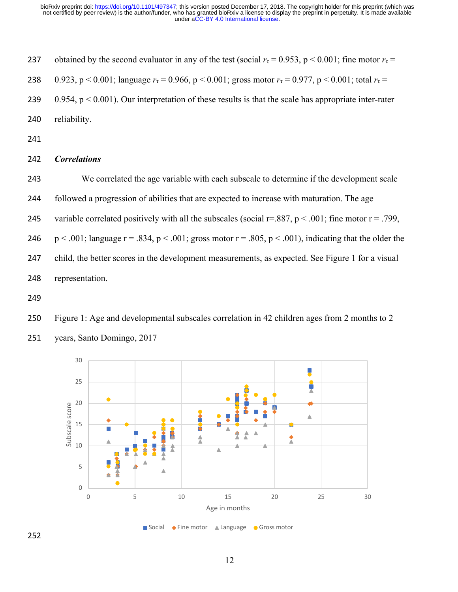237 obtained by the second evaluator in any of the test (social  $r<sub>\tau</sub> = 0.953$ , p < 0.001; fine motor  $r<sub>\tau</sub> =$ 238 0.923, p < 0.001; language  $r_\tau$  = 0.966, p < 0.001; gross motor  $r_\tau$  = 0.977, p < 0.001; total  $r_\tau$  = 239 0.954,  $p < 0.001$ ). Our interpretation of these results is that the scale has appropriate inter-rater reliability.

### *Correlations*

We correlated the age variable with each subscale to determine if the development scale

followed a progression of abilities that are expected to increase with maturation. The age

245 variable correlated positively with all the subscales (social  $r=.887$ ,  $p < .001$ ; fine motor  $r = .799$ ,

246 p < .001; language  $r = .834$ , p < .001; gross motor  $r = .805$ , p < .001), indicating that the older the child, the better scores in the development measurements, as expected. See Figure 1 for a visual representation.

 Figure 1: Age and developmental subscales correlation in 42 children ages from 2 months to 2 years, Santo Domingo, 2017

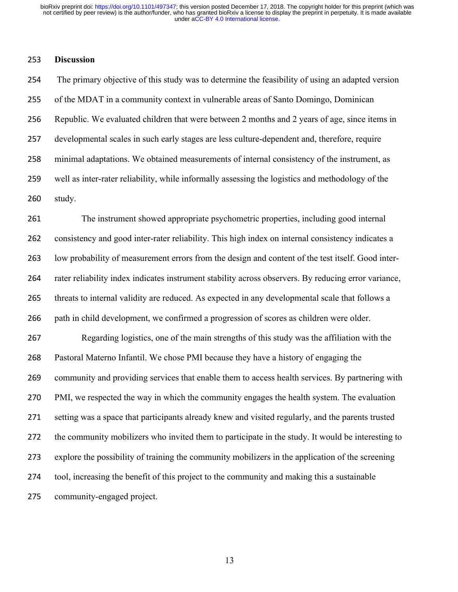# **Discussion**

 The primary objective of this study was to determine the feasibility of using an adapted version of the MDAT in a community context in vulnerable areas of Santo Domingo, Dominican Republic. We evaluated children that were between 2 months and 2 years of age, since items in developmental scales in such early stages are less culture-dependent and, therefore, require minimal adaptations. We obtained measurements of internal consistency of the instrument, as well as inter-rater reliability, while informally assessing the logistics and methodology of the study.

 The instrument showed appropriate psychometric properties, including good internal consistency and good inter-rater reliability. This high index on internal consistency indicates a low probability of measurement errors from the design and content of the test itself. Good inter- rater reliability index indicates instrument stability across observers. By reducing error variance, threats to internal validity are reduced. As expected in any developmental scale that follows a path in child development, we confirmed a progression of scores as children were older.

 Regarding logistics, one of the main strengths of this study was the affiliation with the Pastoral Materno Infantil. We chose PMI because they have a history of engaging the community and providing services that enable them to access health services. By partnering with PMI, we respected the way in which the community engages the health system. The evaluation setting was a space that participants already knew and visited regularly, and the parents trusted the community mobilizers who invited them to participate in the study. It would be interesting to explore the possibility of training the community mobilizers in the application of the screening tool, increasing the benefit of this project to the community and making this a sustainable community-engaged project.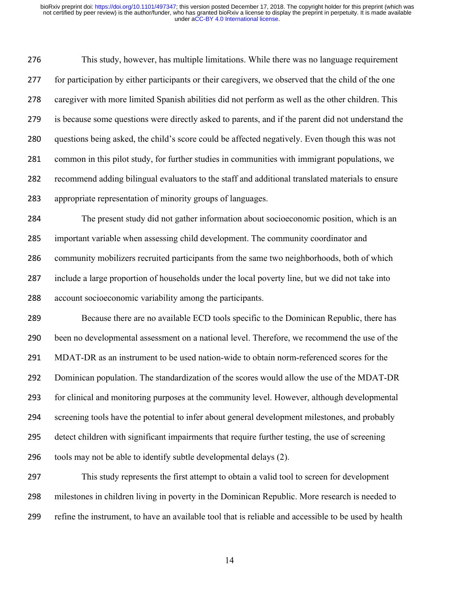This study, however, has multiple limitations. While there was no language requirement for participation by either participants or their caregivers, we observed that the child of the one caregiver with more limited Spanish abilities did not perform as well as the other children. This is because some questions were directly asked to parents, and if the parent did not understand the questions being asked, the child's score could be affected negatively. Even though this was not common in this pilot study, for further studies in communities with immigrant populations, we recommend adding bilingual evaluators to the staff and additional translated materials to ensure appropriate representation of minority groups of languages.

 The present study did not gather information about socioeconomic position, which is an important variable when assessing child development. The community coordinator and community mobilizers recruited participants from the same two neighborhoods, both of which include a large proportion of households under the local poverty line, but we did not take into account socioeconomic variability among the participants.

 Because there are no available ECD tools specific to the Dominican Republic, there has been no developmental assessment on a national level. Therefore, we recommend the use of the MDAT-DR as an instrument to be used nation-wide to obtain norm-referenced scores for the Dominican population. The standardization of the scores would allow the use of the MDAT-DR for clinical and monitoring purposes at the community level. However, although developmental screening tools have the potential to infer about general development milestones, and probably detect children with significant impairments that require further testing, the use of screening tools may not be able to identify subtle developmental delays (2).

 This study represents the first attempt to obtain a valid tool to screen for development milestones in children living in poverty in the Dominican Republic. More research is needed to refine the instrument, to have an available tool that is reliable and accessible to be used by health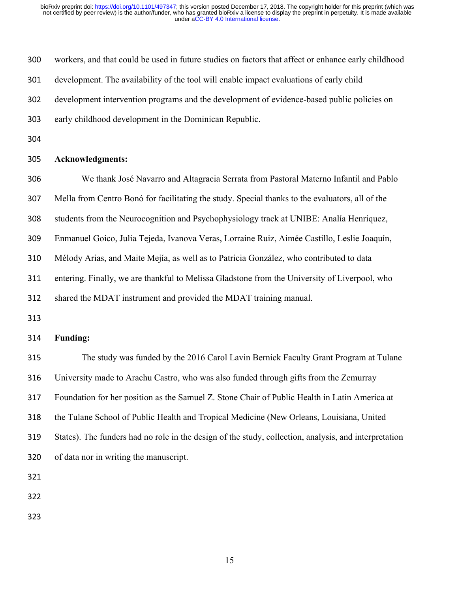| 300 | workers, and that could be used in future studies on factors that affect or enhance early childhood   |
|-----|-------------------------------------------------------------------------------------------------------|
| 301 | development. The availability of the tool will enable impact evaluations of early child               |
| 302 | development intervention programs and the development of evidence-based public policies on            |
| 303 | early childhood development in the Dominican Republic.                                                |
| 304 |                                                                                                       |
| 305 | <b>Acknowledgments:</b>                                                                               |
| 306 | We thank José Navarro and Altagracia Serrata from Pastoral Materno Infantil and Pablo                 |
| 307 | Mella from Centro Bonó for facilitating the study. Special thanks to the evaluators, all of the       |
| 308 | students from the Neurocognition and Psychophysiology track at UNIBE: Analía Henríquez,               |
| 309 | Enmanuel Goico, Julia Tejeda, Ivanova Veras, Lorraine Ruiz, Aimée Castillo, Leslie Joaquín,           |
| 310 | Mélody Arias, and Maite Mejía, as well as to Patricia González, who contributed to data               |
| 311 | entering. Finally, we are thankful to Melissa Gladstone from the University of Liverpool, who         |
| 312 | shared the MDAT instrument and provided the MDAT training manual.                                     |
| 313 |                                                                                                       |
| 314 | <b>Funding:</b>                                                                                       |
| 315 | The study was funded by the 2016 Carol Lavin Bernick Faculty Grant Program at Tulane                  |
| 316 | University made to Arachu Castro, who was also funded through gifts from the Zemurray                 |
| 317 | Foundation for her position as the Samuel Z. Stone Chair of Public Health in Latin America at         |
| 318 | the Tulane School of Public Health and Tropical Medicine (New Orleans, Louisiana, United              |
| 319 | States). The funders had no role in the design of the study, collection, analysis, and interpretation |
| 320 | of data nor in writing the manuscript.                                                                |
| 321 |                                                                                                       |
| 322 |                                                                                                       |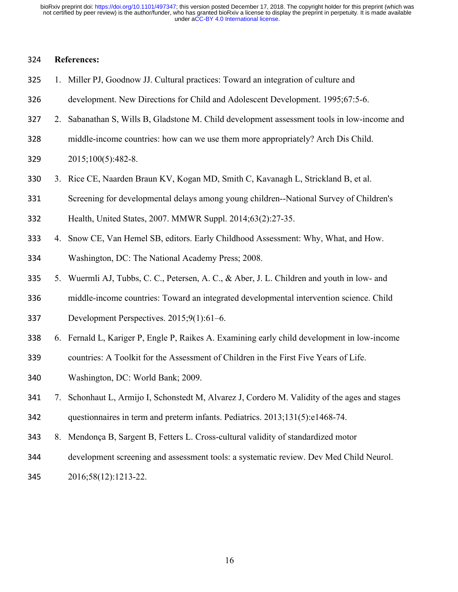## **References:**

- 1. Miller PJ, Goodnow JJ. Cultural practices: Toward an integration of culture and
- development. New Directions for Child and Adolescent Development. 1995;67:5-6.
- 2. Sabanathan S, Wills B, Gladstone M. Child development assessment tools in low-income and
- middle-income countries: how can we use them more appropriately? Arch Dis Child.
- 2015;100(5):482-8.
- 3. Rice CE, Naarden Braun KV, Kogan MD, Smith C, Kavanagh L, Strickland B, et al.
- Screening for developmental delays among young children--National Survey of Children's
- Health, United States, 2007. MMWR Suppl. 2014;63(2):27-35.
- 4. Snow CE, Van Hemel SB, editors. Early Childhood Assessment: Why, What, and How.
- Washington, DC: The National Academy Press; 2008.
- 5. Wuermli AJ, Tubbs, C. C., Petersen, A. C., & Aber, J. L. Children and youth in low- and
- middle-income countries: Toward an integrated developmental intervention science. Child
- Development Perspectives. 2015;9(1):61–6.
- 6. Fernald L, Kariger P, Engle P, Raikes A. Examining early child development in low-income
- countries: A Toolkit for the Assessment of Children in the First Five Years of Life.
- Washington, DC: World Bank; 2009.
- 7. Schonhaut L, Armijo I, Schonstedt M, Alvarez J, Cordero M. Validity of the ages and stages questionnaires in term and preterm infants. Pediatrics. 2013;131(5):e1468-74.
- 8. Mendonça B, Sargent B, Fetters L. Cross-cultural validity of standardized motor
- development screening and assessment tools: a systematic review. Dev Med Child Neurol.
- 2016;58(12):1213-22.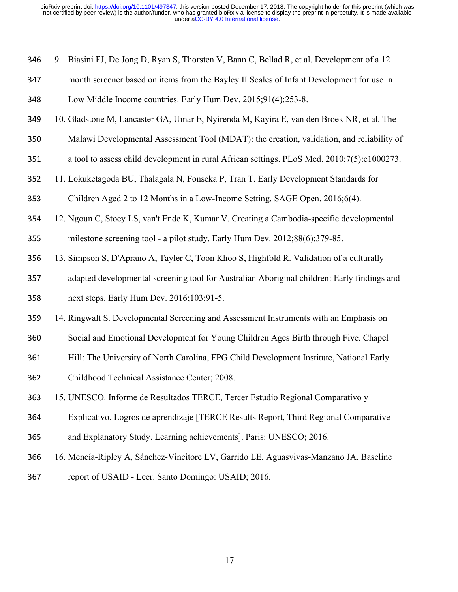| 346 | 9. Biasini FJ, De Jong D, Ryan S, Thorsten V, Bann C, Bellad R, et al. Development of a 12  |
|-----|---------------------------------------------------------------------------------------------|
| 347 | month screener based on items from the Bayley II Scales of Infant Development for use in    |
| 348 | Low Middle Income countries. Early Hum Dev. 2015;91(4):253-8.                               |
| 349 | 10. Gladstone M, Lancaster GA, Umar E, Nyirenda M, Kayira E, van den Broek NR, et al. The   |
| 350 | Malawi Developmental Assessment Tool (MDAT): the creation, validation, and reliability of   |
| 351 | a tool to assess child development in rural African settings. PLoS Med. 2010;7(5):e1000273. |
| 352 | 11. Lokuketagoda BU, Thalagala N, Fonseka P, Tran T. Early Development Standards for        |
| 353 | Children Aged 2 to 12 Months in a Low-Income Setting. SAGE Open. 2016;6(4).                 |
| 354 | 12. Ngoun C, Stoey LS, van't Ende K, Kumar V. Creating a Cambodia-specific developmental    |
| 355 | milestone screening tool - a pilot study. Early Hum Dev. 2012;88(6):379-85.                 |
| 356 | 13. Simpson S, D'Aprano A, Tayler C, Toon Khoo S, Highfold R. Validation of a culturally    |
| 357 | adapted developmental screening tool for Australian Aboriginal children: Early findings and |
| 358 | next steps. Early Hum Dev. 2016;103:91-5.                                                   |
| 359 | 14. Ringwalt S. Developmental Screening and Assessment Instruments with an Emphasis on      |
| 360 | Social and Emotional Development for Young Children Ages Birth through Five. Chapel         |
| 361 | Hill: The University of North Carolina, FPG Child Development Institute, National Early     |
| 362 | Childhood Technical Assistance Center; 2008.                                                |
| 363 | 15. UNESCO. Informe de Resultados TERCE, Tercer Estudio Regional Comparativo y              |
| 364 | Explicativo. Logros de aprendizaje [TERCE Results Report, Third Regional Comparative        |
| 365 | and Explanatory Study. Learning achievements]. Paris: UNESCO; 2016.                         |
| 366 | 16. Mencía-Ripley A, Sánchez-Vincitore LV, Garrido LE, Aguasvivas-Manzano JA. Baseline      |
| 367 | report of USAID - Leer. Santo Domingo: USAID; 2016.                                         |
|     |                                                                                             |